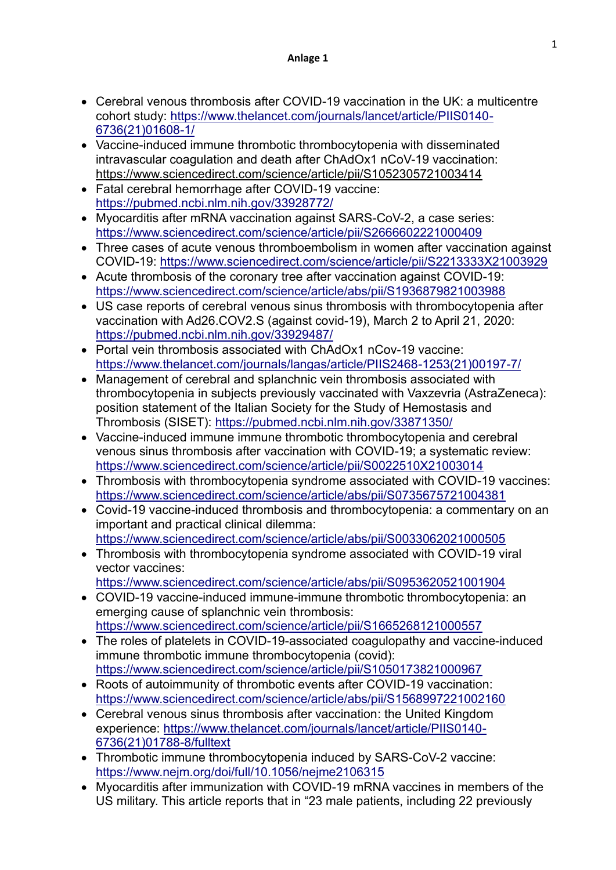- Cerebral venous thrombosis after COVID-19 vaccination in the UK: a multicentre cohort study: [https://www.thelancet.com/journals/lancet/article/PIIS0140-](https://www.thelancet.com/journals/lancet/article/PIIS0140-6736(21)01608-1/) [6736\(21\)01608-1/](https://www.thelancet.com/journals/lancet/article/PIIS0140-6736(21)01608-1/)
- Vaccine-induced immune thrombotic thrombocytopenia with disseminated intravascular coagulation and death after ChAdOx1 nCoV-19 vaccination: https://www.sciencedirect.com/science/article/pii/S1052305721003414
- Fatal cerebral hemorrhage after COVID-19 vaccine: <https://pubmed.ncbi.nlm.nih.gov/33928772/>
- Myocarditis after mRNA vaccination against SARS-CoV-2, a case series: <https://www.sciencedirect.com/science/article/pii/S2666602221000409>
- Three cases of acute venous thromboembolism in women after vaccination against COVID-19:<https://www.sciencedirect.com/science/article/pii/S2213333X21003929>
- Acute thrombosis of the coronary tree after vaccination against COVID-19: <https://www.sciencedirect.com/science/article/abs/pii/S1936879821003988>
- US case reports of cerebral venous sinus thrombosis with thrombocytopenia after vaccination with Ad26.COV2.S (against covid-19), March 2 to April 21, 2020: <https://pubmed.ncbi.nlm.nih.gov/33929487/>
- Portal vein thrombosis associated with ChAdOx1 nCov-19 vaccine: [https://www.thelancet.com/journals/langas/article/PIIS2468-1253\(21\)00197-7/](https://www.thelancet.com/journals/langas/article/PIIS2468-1253(21)00197-7/)
- Management of cerebral and splanchnic vein thrombosis associated with thrombocytopenia in subjects previously vaccinated with Vaxzevria (AstraZeneca): position statement of the Italian Society for the Study of Hemostasis and Thrombosis (SISET):<https://pubmed.ncbi.nlm.nih.gov/33871350/>
- Vaccine-induced immune immune thrombotic thrombocytopenia and cerebral venous sinus thrombosis after vaccination with COVID-19; a systematic review: <https://www.sciencedirect.com/science/article/pii/S0022510X21003014>
- Thrombosis with thrombocytopenia syndrome associated with COVID-19 vaccines: <https://www.sciencedirect.com/science/article/abs/pii/S0735675721004381>
- Covid-19 vaccine-induced thrombosis and thrombocytopenia: a commentary on an important and practical clinical dilemma: <https://www.sciencedirect.com/science/article/abs/pii/S0033062021000505>
- Thrombosis with thrombocytopenia syndrome associated with COVID-19 viral vector vaccines:
	- <https://www.sciencedirect.com/science/article/abs/pii/S0953620521001904>
- COVID-19 vaccine-induced immune-immune thrombotic thrombocytopenia: an emerging cause of splanchnic vein thrombosis: <https://www.sciencedirect.com/science/article/pii/S1665268121000557>
- The roles of platelets in COVID-19-associated coagulopathy and vaccine-induced immune thrombotic immune thrombocytopenia (covid): <https://www.sciencedirect.com/science/article/pii/S1050173821000967>
- Roots of autoimmunity of thrombotic events after COVID-19 vaccination: <https://www.sciencedirect.com/science/article/abs/pii/S1568997221002160>
- Cerebral venous sinus thrombosis after vaccination: the United Kingdom experience: [https://www.thelancet.com/journals/lancet/article/PIIS0140-](https://www.thelancet.com/journals/lancet/article/PIIS0140-6736(21)01788-8/fulltext) [6736\(21\)01788-8/fulltext](https://www.thelancet.com/journals/lancet/article/PIIS0140-6736(21)01788-8/fulltext)
- Thrombotic immune thrombocytopenia induced by SARS-CoV-2 vaccine: <https://www.nejm.org/doi/full/10.1056/nejme2106315>
- Myocarditis after immunization with COVID-19 mRNA vaccines in members of the US military. This article reports that in "23 male patients, including 22 previously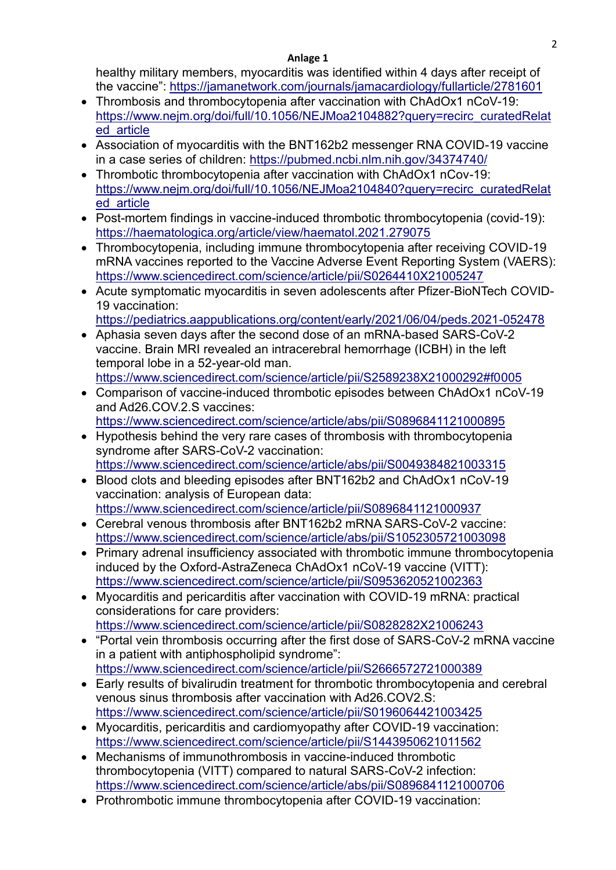healthy military members, myocarditis was identified within 4 days after receipt of the vaccine":<https://jamanetwork.com/journals/jamacardiology/fullarticle/2781601>

- Thrombosis and thrombocytopenia after vaccination with ChAdOx1 nCoV-19: [https://www.nejm.org/doi/full/10.1056/NEJMoa2104882?query=recirc\\_curatedRelat](https://www.nejm.org/doi/full/10.1056/NEJMoa2104882?query=recirc_curatedRelated_article) [ed\\_article](https://www.nejm.org/doi/full/10.1056/NEJMoa2104882?query=recirc_curatedRelated_article)
- Association of myocarditis with the BNT162b2 messenger RNA COVID-19 vaccine in a case series of children:<https://pubmed.ncbi.nlm.nih.gov/34374740/>
- Thrombotic thrombocytopenia after vaccination with ChAdOx1 nCov-19: [https://www.nejm.org/doi/full/10.1056/NEJMoa2104840?query=recirc\\_curatedRelat](https://www.nejm.org/doi/full/10.1056/NEJMoa2104840?query=recirc_curatedRelated_article) [ed\\_article](https://www.nejm.org/doi/full/10.1056/NEJMoa2104840?query=recirc_curatedRelated_article)
- Post-mortem findings in vaccine-induced thrombotic thrombocytopenia (covid-19): <https://haematologica.org/article/view/haematol.2021.279075>
- Thrombocytopenia, including immune thrombocytopenia after receiving COVID-19 mRNA vaccines reported to the Vaccine Adverse Event Reporting System (VAERS): <https://www.sciencedirect.com/science/article/pii/S0264410X21005247>
- Acute symptomatic myocarditis in seven adolescents after Pfizer-BioNTech COVID-19 vaccination: <https://pediatrics.aappublications.org/content/early/2021/06/04/peds.2021-052478>
- Aphasia seven days after the second dose of an mRNA-based SARS-CoV-2 vaccine. Brain MRI revealed an intracerebral hemorrhage (ICBH) in the left temporal lobe in a 52-year-old man. <https://www.sciencedirect.com/science/article/pii/S2589238X21000292#f0005>
- Comparison of vaccine-induced thrombotic episodes between ChAdOx1 nCoV-19 and Ad26.COV.2.S vaccines: <https://www.sciencedirect.com/science/article/abs/pii/S0896841121000895>
- Hypothesis behind the very rare cases of thrombosis with thrombocytopenia syndrome after SARS-CoV-2 vaccination: <https://www.sciencedirect.com/science/article/abs/pii/S0049384821003315>
- Blood clots and bleeding episodes after BNT162b2 and ChAdOx1 nCoV-19 vaccination: analysis of European data: <https://www.sciencedirect.com/science/article/pii/S0896841121000937>
- Cerebral venous thrombosis after BNT162b2 mRNA SARS-CoV-2 vaccine: <https://www.sciencedirect.com/science/article/abs/pii/S1052305721003098>
- Primary adrenal insufficiency associated with thrombotic immune thrombocytopenia induced by the Oxford-AstraZeneca ChAdOx1 nCoV-19 vaccine (VITT): <https://www.sciencedirect.com/science/article/pii/S0953620521002363>
- Myocarditis and pericarditis after vaccination with COVID-19 mRNA: practical considerations for care providers: <https://www.sciencedirect.com/science/article/pii/S0828282X21006243>
- "Portal vein thrombosis occurring after the first dose of SARS-CoV-2 mRNA vaccine in a patient with antiphospholipid syndrome": <https://www.sciencedirect.com/science/article/pii/S2666572721000389>
- Early results of bivalirudin treatment for thrombotic thrombocytopenia and cerebral venous sinus thrombosis after vaccination with Ad26.COV2.S: <https://www.sciencedirect.com/science/article/pii/S0196064421003425>
- Myocarditis, pericarditis and cardiomyopathy after COVID-19 vaccination: <https://www.sciencedirect.com/science/article/pii/S1443950621011562>
- Mechanisms of immunothrombosis in vaccine-induced thrombotic thrombocytopenia (VITT) compared to natural SARS-CoV-2 infection: <https://www.sciencedirect.com/science/article/abs/pii/S0896841121000706>
- Prothrombotic immune thrombocytopenia after COVID-19 vaccination: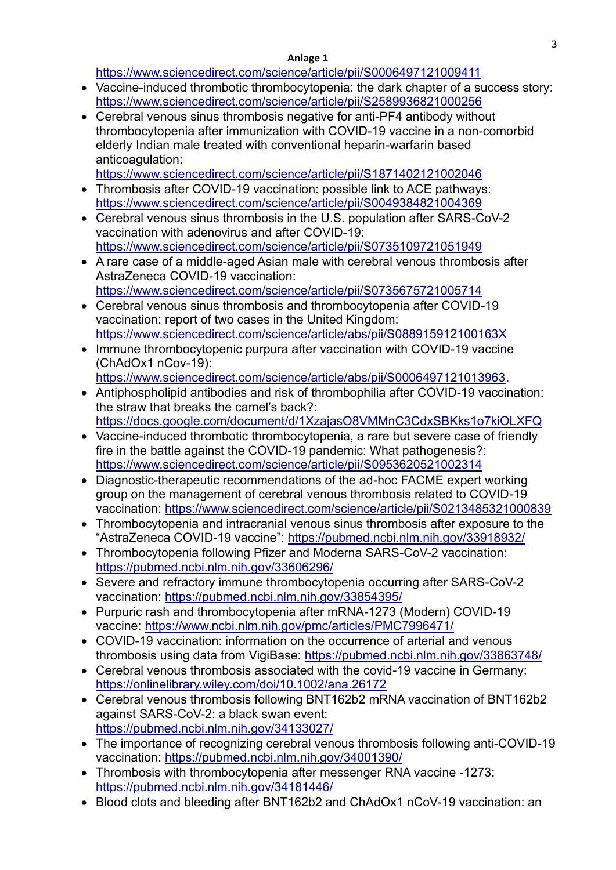<https://www.sciencedirect.com/science/article/pii/S0006497121009411>

- Vaccine-induced thrombotic thrombocytopenia: the dark chapter of a success story: <https://www.sciencedirect.com/science/article/pii/S2589936821000256>
- Cerebral venous sinus thrombosis negative for anti-PF4 antibody without thrombocytopenia after immunization with COVID-19 vaccine in a non-comorbid elderly Indian male treated with conventional heparin-warfarin based anticoagulation:

<https://www.sciencedirect.com/science/article/pii/S1871402121002046>

- Thrombosis after COVID-19 vaccination: possible link to ACE pathways: <https://www.sciencedirect.com/science/article/pii/S0049384821004369>
- Cerebral venous sinus thrombosis in the U.S. population after SARS-CoV-2 vaccination with adenovirus and after COVID-19: <https://www.sciencedirect.com/science/article/pii/S0735109721051949>
- A rare case of a middle-aged Asian male with cerebral venous thrombosis after AstraZeneca COVID-19 vaccination: <https://www.sciencedirect.com/science/article/pii/S0735675721005714>
- Cerebral venous sinus thrombosis and thrombocytopenia after COVID-19 vaccination: report of two cases in the United Kingdom: <https://www.sciencedirect.com/science/article/abs/pii/S088915912100163X>
- Immune thrombocytopenic purpura after vaccination with COVID-19 vaccine (ChAdOx1 nCov-19): [https://www.sciencedirect.com/science/article/abs/pii/S0006497121013963.](https://www.sciencedirect.com/science/article/abs/pii/S0006497121013963)
- Antiphospholipid antibodies and risk of thrombophilia after COVID-19 vaccination: the straw that breaks the camel's back?: <https://docs.google.com/document/d/1XzajasO8VMMnC3CdxSBKks1o7kiOLXFQ>
- Vaccine-induced thrombotic thrombocytopenia, a rare but severe case of friendly fire in the battle against the COVID-19 pandemic: What pathogenesis?: <https://www.sciencedirect.com/science/article/pii/S0953620521002314>
- Diagnostic-therapeutic recommendations of the ad-hoc FACME expert working group on the management of cerebral venous thrombosis related to COVID-19 vaccination:<https://www.sciencedirect.com/science/article/pii/S0213485321000839>
- Thrombocytopenia and intracranial venous sinus thrombosis after exposure to the "AstraZeneca COVID-19 vaccine":<https://pubmed.ncbi.nlm.nih.gov/33918932/>
- Thrombocytopenia following Pfizer and Moderna SARS-CoV-2 vaccination: <https://pubmed.ncbi.nlm.nih.gov/33606296/>
- Severe and refractory immune thrombocytopenia occurring after SARS-CoV-2 vaccination:<https://pubmed.ncbi.nlm.nih.gov/33854395/>
- Purpuric rash and thrombocytopenia after mRNA-1273 (Modern) COVID-19 vaccine:<https://www.ncbi.nlm.nih.gov/pmc/articles/PMC7996471/>
- COVID-19 vaccination: information on the occurrence of arterial and venous thrombosis using data from VigiBase:<https://pubmed.ncbi.nlm.nih.gov/33863748/>
- Cerebral venous thrombosis associated with the covid-19 vaccine in Germany: <https://onlinelibrary.wiley.com/doi/10.1002/ana.26172>
- Cerebral venous thrombosis following BNT162b2 mRNA vaccination of BNT162b2 against SARS-CoV-2: a black swan event: <https://pubmed.ncbi.nlm.nih.gov/34133027/>
- The importance of recognizing cerebral venous thrombosis following anti-COVID-19 vaccination:<https://pubmed.ncbi.nlm.nih.gov/34001390/>
- Thrombosis with thrombocytopenia after messenger RNA vaccine -1273: <https://pubmed.ncbi.nlm.nih.gov/34181446/>
- Blood clots and bleeding after BNT162b2 and ChAdOx1 nCoV-19 vaccination: an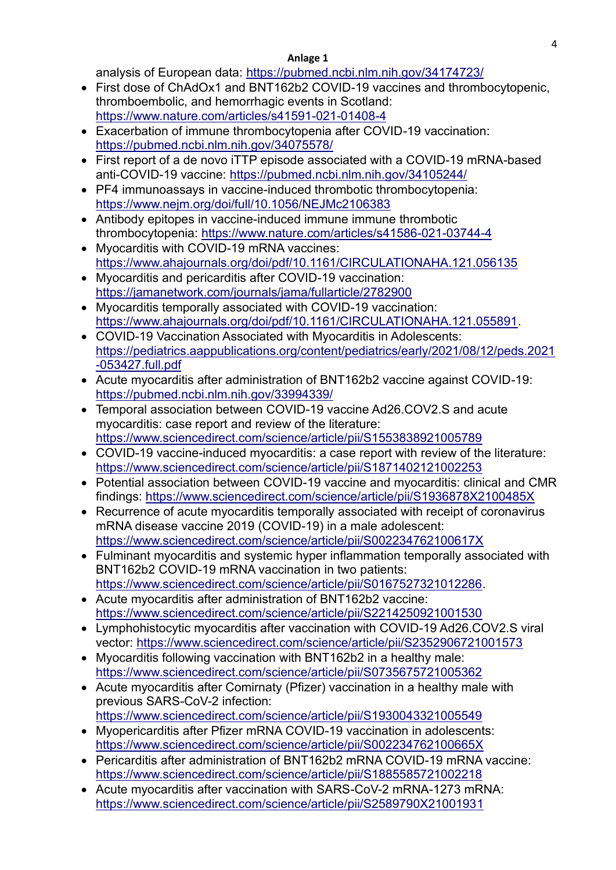analvsis of European data:<https://pubmed.ncbi.nlm.nih.gov/34174723/>

- First dose of ChAdOx1 and BNT162b2 COVID-19 vaccines and thrombocytopenic. thromboembolic, and hemorrhagic events in Scotland: <https://www.nature.com/articles/s41591-021-01408-4>
- Exacerbation of immune thrombocytopenia after COVID-19 vaccination: <https://pubmed.ncbi.nlm.nih.gov/34075578/>
- First report of a de novo iTTP episode associated with a COVID-19 mRNA-based anti-COVID-19 vaccine:<https://pubmed.ncbi.nlm.nih.gov/34105244/>
- PF4 immunoassays in vaccine-induced thrombotic thrombocytopenia: <https://www.nejm.org/doi/full/10.1056/NEJMc2106383>
- Antibody epitopes in vaccine-induced immune immune thrombotic thrombocytopenia:<https://www.nature.com/articles/s41586-021-03744-4>
- Myocarditis with COVID-19 mRNA vaccines: <https://www.ahajournals.org/doi/pdf/10.1161/CIRCULATIONAHA.121.056135>
- Myocarditis and pericarditis after COVID-19 vaccination: <https://jamanetwork.com/journals/jama/fullarticle/2782900>
- Myocarditis temporally associated with COVID-19 vaccination: [https://www.ahajournals.org/doi/pdf/10.1161/CIRCULATIONAHA.121.055891.](https://www.ahajournals.org/doi/pdf/10.1161/CIRCULATIONAHA.121.055891)
- COVID-19 Vaccination Associated with Myocarditis in Adolescents: [https://pediatrics.aappublications.org/content/pediatrics/early/2021/08/12/peds.2021](https://pediatrics.aappublications.org/content/pediatrics/early/2021/08/12/peds.2021-053427.full.pdf) [-053427.full.pdf](https://pediatrics.aappublications.org/content/pediatrics/early/2021/08/12/peds.2021-053427.full.pdf)
- Acute myocarditis after administration of BNT162b2 vaccine against COVID-19: <https://pubmed.ncbi.nlm.nih.gov/33994339/>
- Temporal association between COVID-19 vaccine Ad26.COV2.S and acute myocarditis: case report and review of the literature: <https://www.sciencedirect.com/science/article/pii/S1553838921005789>
- COVID-19 vaccine-induced myocarditis: a case report with review of the literature: <https://www.sciencedirect.com/science/article/pii/S1871402121002253>
- Potential association between COVID-19 vaccine and myocarditis: clinical and CMR findings:<https://www.sciencedirect.com/science/article/pii/S1936878X2100485X>
- Recurrence of acute myocarditis temporally associated with receipt of coronavirus mRNA disease vaccine 2019 (COVID-19) in a male adolescent: <https://www.sciencedirect.com/science/article/pii/S002234762100617X>
- Fulminant myocarditis and systemic hyper inflammation temporally associated with BNT162b2 COVID-19 mRNA vaccination in two patients: [https://www.sciencedirect.com/science/article/pii/S0167527321012286.](https://www.sciencedirect.com/science/article/pii/S0167527321012286)
- Acute myocarditis after administration of BNT162b2 vaccine: <https://www.sciencedirect.com/science/article/pii/S2214250921001530>
- Lymphohistocytic myocarditis after vaccination with COVID-19 Ad26.COV2.S viral vector:<https://www.sciencedirect.com/science/article/pii/S2352906721001573>
- Myocarditis following vaccination with BNT162b2 in a healthy male: <https://www.sciencedirect.com/science/article/pii/S0735675721005362>
- Acute myocarditis after Comirnaty (Pfizer) vaccination in a healthy male with previous SARS-CoV-2 infection: <https://www.sciencedirect.com/science/article/pii/S1930043321005549>
- Myopericarditis after Pfizer mRNA COVID-19 vaccination in adolescents: <https://www.sciencedirect.com/science/article/pii/S002234762100665X>
- Pericarditis after administration of BNT162b2 mRNA COVID-19 mRNA vaccine: <https://www.sciencedirect.com/science/article/pii/S1885585721002218>
- Acute myocarditis after vaccination with SARS-CoV-2 mRNA-1273 mRNA: <https://www.sciencedirect.com/science/article/pii/S2589790X21001931>